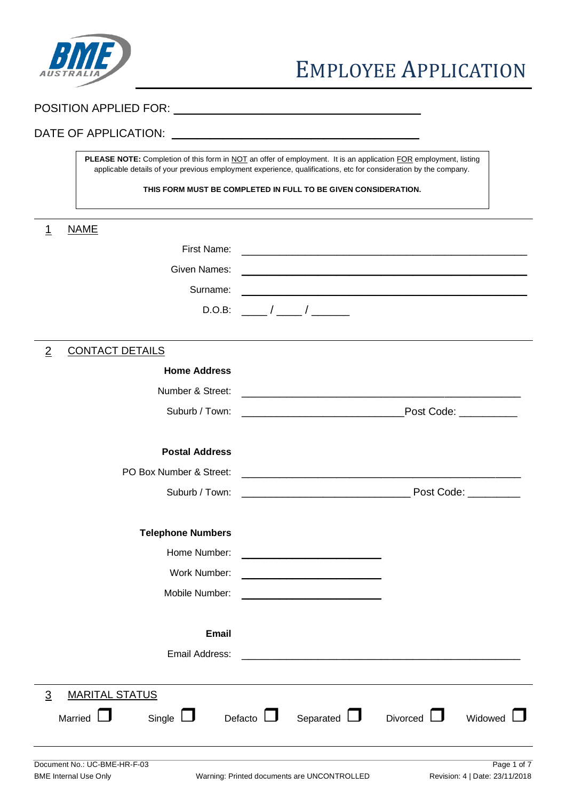

# POSITION APPLIED FOR: \_\_\_\_\_\_\_\_\_\_\_\_\_\_\_\_\_\_\_\_\_\_\_\_\_\_\_\_\_\_\_\_\_\_\_\_\_\_\_

# DATE OF APPLICATION: \_\_\_\_\_\_\_\_\_\_\_\_\_\_\_\_\_\_\_\_\_\_\_\_\_\_\_\_\_\_\_\_\_\_\_\_\_\_\_

PLEASE NOTE: Completion of this form in NOT an offer of employment. It is an application FOR employment, listing applicable details of your previous employment experience, qualifications, etc for consideration by the company.

**THIS FORM MUST BE COMPLETED IN FULL TO BE GIVEN CONSIDERATION.**

| <b>NAME</b><br>1                                             |                                                                                                                                              |
|--------------------------------------------------------------|----------------------------------------------------------------------------------------------------------------------------------------------|
| First Name:                                                  |                                                                                                                                              |
| Given Names:                                                 | <u> 1989 - Johann John Stone, mars et al. 1989 - John Stone, mars et al. 1989 - John Stone, mars et al. 1989 - John Stone</u>                |
| Surname:                                                     |                                                                                                                                              |
| D.O.B:                                                       | $\sqrt{2}$                                                                                                                                   |
|                                                              |                                                                                                                                              |
| <b>CONTACT DETAILS</b><br>$\overline{2}$                     |                                                                                                                                              |
| <b>Home Address</b>                                          |                                                                                                                                              |
| Number & Street:                                             |                                                                                                                                              |
| Suburb / Town:                                               | Post Code: _________<br><u> 1989 - Johann John Stone, mars eta bat eta bat eta bat eta bat eta bat eta bat eta bat eta bat eta bat eta b</u> |
|                                                              |                                                                                                                                              |
| <b>Postal Address</b>                                        |                                                                                                                                              |
| PO Box Number & Street:                                      |                                                                                                                                              |
| Suburb / Town:                                               |                                                                                                                                              |
|                                                              |                                                                                                                                              |
| <b>Telephone Numbers</b>                                     |                                                                                                                                              |
| Home Number:                                                 | <u> 1989 - Johann John Hermann, market fra 1980 - 1980 - 1980 - 1980 - 1980 - 1980 - 1980 - 1980 - 1980 - 1980 - 1</u>                       |
| Work Number:                                                 |                                                                                                                                              |
| Mobile Number:                                               | <u> 1989 - Johann John Harry Harry Harry Harry Harry Harry Harry Harry Harry Harry Harry Harry Harry Harry Harry H</u>                       |
|                                                              |                                                                                                                                              |
| <b>Email</b>                                                 |                                                                                                                                              |
| Email Address:                                               |                                                                                                                                              |
|                                                              |                                                                                                                                              |
| <b>MARITAL STATUS</b><br>$\overline{3}$                      |                                                                                                                                              |
| Married<br>Single $\Box$                                     | Defacto $\Box$<br>Separated $\Box$<br>Divorced $\Box$<br>Widowed                                                                             |
|                                                              |                                                                                                                                              |
|                                                              |                                                                                                                                              |
| Document No.: UC-BME-HR-F-03<br><b>BME Internal Use Only</b> | Page 1 of 7<br>Revision: 4   Date: 23/11/2018<br>Warning: Printed documents are UNCONTROLLED                                                 |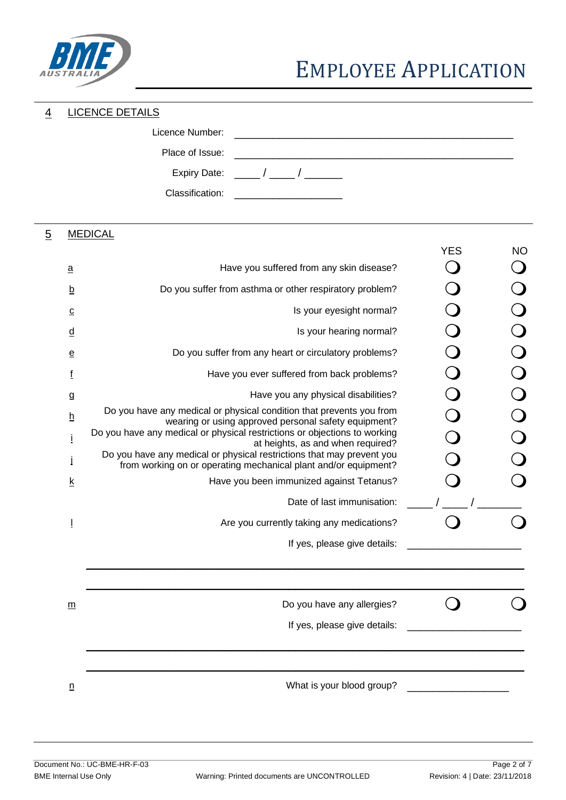

# 4 LICENCE DETAILS

| Licence Number: |                           |
|-----------------|---------------------------|
| Place of Issue: |                           |
|                 | Expiry Date: $\qquad$ / / |
| Classification: |                           |

# 5 MEDICAL

|                          |                                                                                                                                          | <b>YES</b> | <b>NO</b> |
|--------------------------|------------------------------------------------------------------------------------------------------------------------------------------|------------|-----------|
| а                        | Have you suffered from any skin disease?                                                                                                 |            |           |
| $\underline{b}$          | Do you suffer from asthma or other respiratory problem?                                                                                  |            |           |
| <u>c</u>                 | Is your eyesight normal?                                                                                                                 |            |           |
| $\underline{\mathsf{d}}$ | Is your hearing normal?                                                                                                                  |            |           |
| е                        | Do you suffer from any heart or circulatory problems?                                                                                    |            |           |
| f                        | Have you ever suffered from back problems?                                                                                               |            |           |
| g                        | Have you any physical disabilities?                                                                                                      |            |           |
| <u>h</u>                 | Do you have any medical or physical condition that prevents you from<br>wearing or using approved personal safety equipment?             |            |           |
|                          | Do you have any medical or physical restrictions or objections to working<br>at heights, as and when required?                           |            |           |
|                          | Do you have any medical or physical restrictions that may prevent you<br>from working on or operating mechanical plant and/or equipment? |            |           |
| <u>k</u>                 | Have you been immunized against Tetanus?                                                                                                 |            |           |
|                          | Date of last immunisation:                                                                                                               |            |           |
| Ţ                        | Are you currently taking any medications?                                                                                                |            |           |
|                          | If yes, please give details:                                                                                                             |            |           |
|                          |                                                                                                                                          |            |           |
|                          |                                                                                                                                          |            |           |
| m                        | Do you have any allergies?                                                                                                               |            |           |
|                          | If yes, please give details:                                                                                                             |            |           |
|                          |                                                                                                                                          |            |           |
|                          |                                                                                                                                          |            |           |
| $\underline{n}$          | What is your blood group?                                                                                                                |            |           |
|                          |                                                                                                                                          |            |           |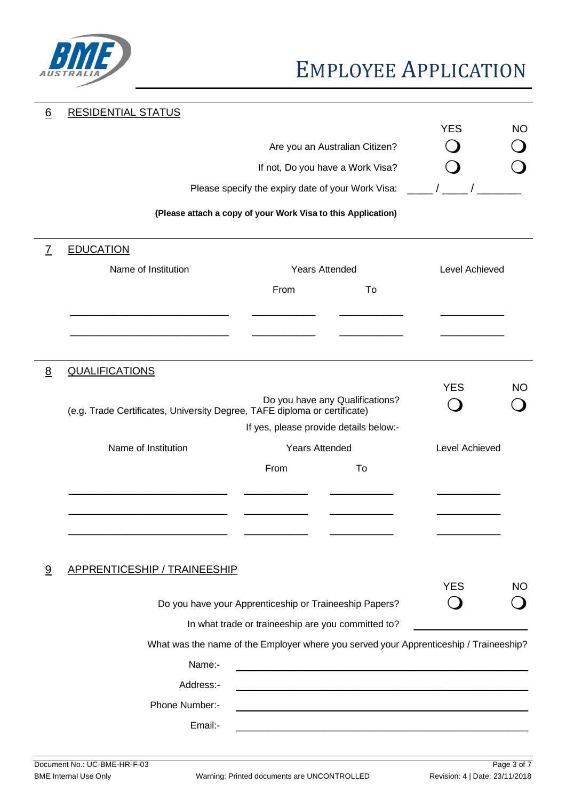

# EMPLOYEE APPLICATION

| 6              | <b>RESIDENTIAL STATUS</b>                                                             |                                                              |                                  |                |             |
|----------------|---------------------------------------------------------------------------------------|--------------------------------------------------------------|----------------------------------|----------------|-------------|
|                |                                                                                       |                                                              | Are you an Australian Citizen?   | <b>YES</b>     | <b>NO</b>   |
|                |                                                                                       |                                                              | If not, Do you have a Work Visa? |                |             |
|                |                                                                                       | Please specify the expiry date of your Work Visa:            |                                  |                |             |
|                |                                                                                       | (Please attach a copy of your Work Visa to this Application) |                                  |                |             |
|                |                                                                                       |                                                              |                                  |                |             |
| $\overline{7}$ | <b>EDUCATION</b>                                                                      |                                                              |                                  |                |             |
|                | Name of Institution                                                                   | <b>Years Attended</b>                                        |                                  | Level Achieved |             |
|                |                                                                                       | From                                                         | To                               |                |             |
|                |                                                                                       |                                                              |                                  |                |             |
|                |                                                                                       |                                                              |                                  |                |             |
| <u>8</u>       | <b>QUALIFICATIONS</b>                                                                 |                                                              |                                  |                |             |
|                |                                                                                       |                                                              | Do you have any Qualifications?  | <b>YES</b>     | <b>NO</b>   |
|                | (e.g. Trade Certificates, University Degree, TAFE diploma or certificate)             |                                                              |                                  |                |             |
|                |                                                                                       | If yes, please provide details below:-                       |                                  |                |             |
|                | Name of Institution                                                                   | <b>Years Attended</b>                                        |                                  | Level Achieved |             |
|                |                                                                                       | From                                                         | To                               |                |             |
|                |                                                                                       |                                                              |                                  |                |             |
|                |                                                                                       |                                                              |                                  |                |             |
|                |                                                                                       |                                                              |                                  |                |             |
| 9              | APPRENTICESHIP / TRAINEESHIP                                                          |                                                              |                                  |                |             |
|                |                                                                                       |                                                              |                                  | <b>YES</b>     | <b>NO</b>   |
|                |                                                                                       | Do you have your Apprenticeship or Traineeship Papers?       |                                  |                |             |
|                |                                                                                       | In what trade or traineeship are you committed to?           |                                  |                |             |
|                | What was the name of the Employer where you served your Apprenticeship / Traineeship? |                                                              |                                  |                |             |
|                | Name:-                                                                                |                                                              |                                  |                |             |
|                | Address:-                                                                             |                                                              |                                  |                |             |
|                | Phone Number:-                                                                        |                                                              |                                  |                |             |
|                | Email:-                                                                               |                                                              |                                  |                |             |
|                |                                                                                       |                                                              |                                  |                |             |
|                | Document No.: UC-BME-HR-F-03                                                          |                                                              |                                  |                | Page 3 of 7 |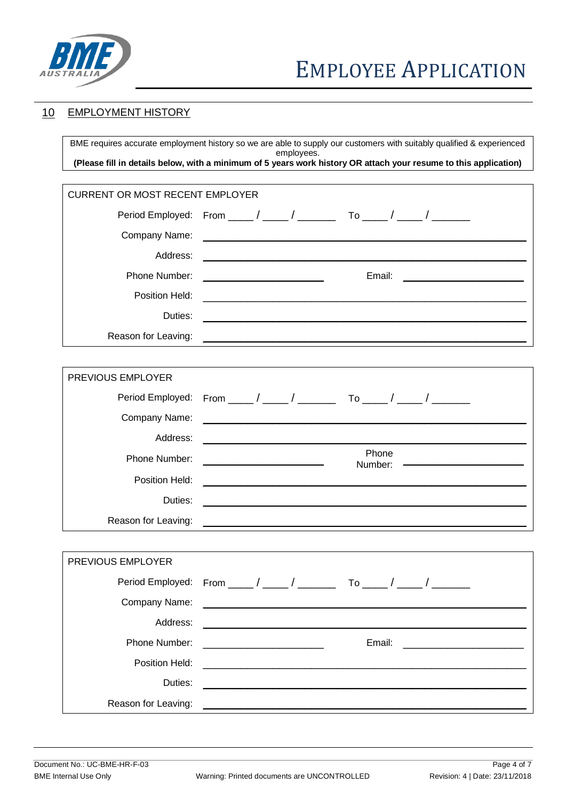

# 10 EMPLOYMENT HISTORY

BME requires accurate employment history so we are able to supply our customers with suitably qualified & experienced employees. **(Please fill in details below, with a minimum of 5 years work history OR attach your resume to this application)**

| <b>CURRENT OR MOST RECENT EMPLOYER</b> |                                                                                                                                            |  |  |
|----------------------------------------|--------------------------------------------------------------------------------------------------------------------------------------------|--|--|
|                                        | Period Employed: From ____/ ____/ _______ To ____/ ____/ _______                                                                           |  |  |
| Company Name:                          | <u> 1989 - Johann John Stone, meilich aus der Stone († 1908)</u>                                                                           |  |  |
| Address:                               |                                                                                                                                            |  |  |
| Phone Number:                          | Email:<br><u> 1990 - Johann Barn, mars ann an t-</u><br><u> 1989 - Johann John Stone, mars et al. (</u>                                    |  |  |
| Position Held:                         | <u> 1989 - Johann John Stone, mars eta bernaren 1989 - Johann Stone, marraren 1989 - Johann Stone, marraren 1980</u>                       |  |  |
| Duties:                                | <u> 1999 - Johann John Stone, Amerikaansk politiker (* 1908)</u>                                                                           |  |  |
| Reason for Leaving:                    |                                                                                                                                            |  |  |
|                                        |                                                                                                                                            |  |  |
| PREVIOUS EMPLOYER                      |                                                                                                                                            |  |  |
|                                        | Period Employed: From ____ / ____ / _______ To ____ / _____ / _______                                                                      |  |  |
| Company Name:                          | <u> 1989 - Johann John Stone, mars eta berriaren 1980an eta industrial eta erroman erroman erroman erroman erroma</u>                      |  |  |
| Address:                               | <u> 1980 - Johann John Stone, markin film yn y brenin y brenin y brenin y brenin y brenin y brenin y brenin y br</u>                       |  |  |
| Phone Number:                          | Phone<br><u> 1980 - Andrea Station, professor et al. (</u><br>Number:                                                                      |  |  |
| Position Held:                         |                                                                                                                                            |  |  |
| Duties:                                | <u> 1989 - Johann Barn, mars ann an t-Amhain ann an t-Amhain an t-Amhain an t-Amhain an t-Amhain an t-Amhain an t-</u>                     |  |  |
| Reason for Leaving:                    |                                                                                                                                            |  |  |
|                                        |                                                                                                                                            |  |  |
| PREVIOUS EMPLOYER                      |                                                                                                                                            |  |  |
|                                        | Period Employed: From $\frac{\mu}{\sigma}$ / $\frac{\mu}{\sigma}$ / $\frac{\mu}{\sigma}$<br>To $\frac{1}{\sqrt{2}}$ , $\frac{1}{\sqrt{2}}$ |  |  |
| Company Name:                          |                                                                                                                                            |  |  |
| Address:                               |                                                                                                                                            |  |  |
| Phone Number:                          | Email:<br><u> 1990 - Johann Barn, mars ann an t-</u>                                                                                       |  |  |
| Position Held:                         |                                                                                                                                            |  |  |
| Duties:                                |                                                                                                                                            |  |  |
| Reason for Leaving:                    |                                                                                                                                            |  |  |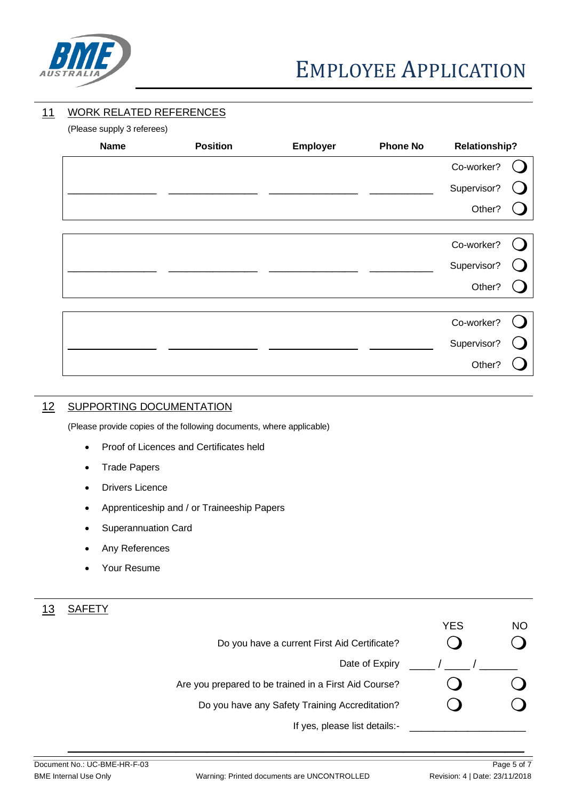

# EMPLOYEE APPLICATION

## 11 WORK RELATED REFERENCES

(Please supply 3 referees)

| $\ddot{\mathbf{r}}$ . There is explicitly the contract of $\ddot{\mathbf{r}}$<br><b>Name</b> | <b>Position</b> | Employer | <b>Phone No</b> | <b>Relationship?</b> |  |
|----------------------------------------------------------------------------------------------|-----------------|----------|-----------------|----------------------|--|
|                                                                                              |                 |          |                 | Co-worker?           |  |
|                                                                                              |                 |          |                 | Supervisor?          |  |
|                                                                                              |                 |          |                 | Other?               |  |
|                                                                                              |                 |          |                 |                      |  |
|                                                                                              |                 |          |                 | Co-worker?           |  |
|                                                                                              |                 |          |                 | Supervisor?          |  |
|                                                                                              |                 |          |                 | Other?               |  |
|                                                                                              |                 |          |                 |                      |  |
|                                                                                              |                 |          |                 | Co-worker?           |  |
|                                                                                              |                 |          |                 | Supervisor?          |  |
|                                                                                              |                 |          |                 | Other?               |  |

## 12 SUPPORTING DOCUMENTATION

(Please provide copies of the following documents, where applicable)

- Proof of Licences and Certificates held
- Trade Papers
- Drivers Licence
- Apprenticeship and / or Traineeship Papers
- Superannuation Card
- Any References
- Your Resume

# 13 SAFETY

| Do you have a current First Aid Certificate?          | <b>YES</b> | <b>NO</b> |
|-------------------------------------------------------|------------|-----------|
| Date of Expiry                                        |            |           |
| Are you prepared to be trained in a First Aid Course? |            |           |
| Do you have any Safety Training Accreditation?        |            |           |
| If yes, please list details:-                         |            |           |

 $\_$  , and the set of the set of the set of the set of the set of the set of the set of the set of the set of the set of the set of the set of the set of the set of the set of the set of the set of the set of the set of th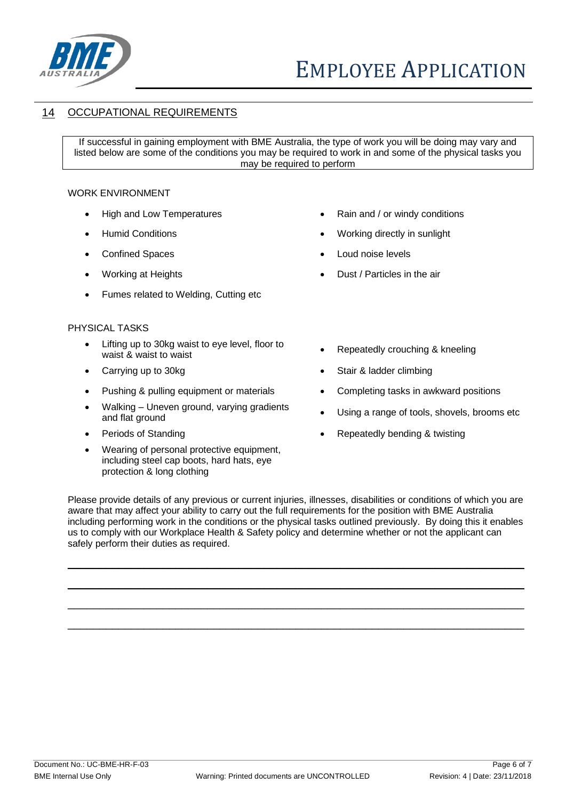

## 14 OCCUPATIONAL REQUIREMENTS

If successful in gaining employment with BME Australia, the type of work you will be doing may vary and listed below are some of the conditions you may be required to work in and some of the physical tasks you may be required to perform

#### WORK ENVIRONMENT

- 
- 
- 
- 
- Fumes related to Welding, Cutting etc

#### PHYSICAL TASKS

- Lifting up to 30kg waist to eye level, floor to Litting up to soky waist to eye lever, hoor to **example absolute** Repeatedly crouching & kneeling waist to waist
- 
- Pushing & pulling equipment or materials Completing tasks in awkward positions
- Walking Uneven ground, varying gradients validing – Uneverligiburia, varying gradients **•** Using a range of tools, shovels, brooms etc and flat ground
- 
- Wearing of personal protective equipment, including steel cap boots, hard hats, eye protection & long clothing
- High and Low Temperatures Rain and / or windy conditions
- Humid Conditions Norking directly in sunlight
- Confined Spaces Loud noise levels
- Working at Heights  **Dust / Particles in the air** 
	-
- Carrying up to 30kg Stair & ladder climbing
	-
	-
- Periods of Standing  **Repeatedly bending & twisting**

Please provide details of any previous or current injuries, illnesses, disabilities or conditions of which you are aware that may affect your ability to carry out the full requirements for the position with BME Australia including performing work in the conditions or the physical tasks outlined previously. By doing this it enables us to comply with our Workplace Health & Safety policy and determine whether or not the applicant can safely perform their duties as required.

 $\_$  , and the set of the set of the set of the set of the set of the set of the set of the set of the set of the set of the set of the set of the set of the set of the set of the set of the set of the set of the set of th

 $\_$  , and the set of the set of the set of the set of the set of the set of the set of the set of the set of the set of the set of the set of the set of the set of the set of the set of the set of the set of the set of th

 $\_$  , and the set of the set of the set of the set of the set of the set of the set of the set of the set of the set of the set of the set of the set of the set of the set of the set of the set of the set of the set of th

 $\_$  , and the set of the set of the set of the set of the set of the set of the set of the set of the set of the set of the set of the set of the set of the set of the set of the set of the set of the set of the set of th